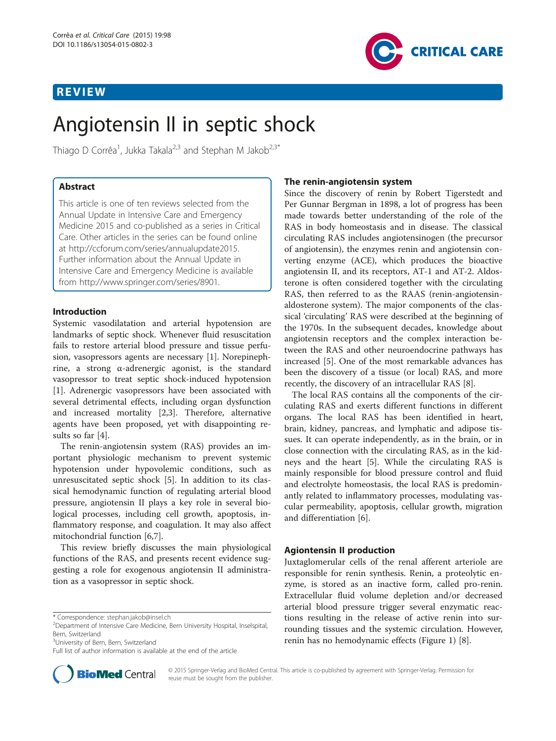# REVIEW



Thiago D Corrêa<sup>1</sup>, Jukka Takala<sup>2,3</sup> and Stephan M Jakob<sup>2,3\*</sup>

# Abstract

This article is one of ten reviews selected from the Annual Update in Intensive Care and Emergency Medicine 2015 and co-published as a series in Critical Care. Other articles in the series can be found online at [http://ccforum.com/series/annualupdate2015.](http://ccforum.com/series/annualupdate2015) Further information about the Annual Update in Intensive Care and Emergency Medicine is available from [http://www.springer.com/series/8901.](http://www.springer.com/series/8901)

# Introduction

Systemic vasodilatation and arterial hypotension are landmarks of septic shock. Whenever fluid resuscitation fails to restore arterial blood pressure and tissue perfusion, vasopressors agents are necessary [[1](#page-4-0)]. Norepinephrine, a strong α-adrenergic agonist, is the standard vasopressor to treat septic shock-induced hypotension [[1\]](#page-4-0). Adrenergic vasopressors have been associated with several detrimental effects, including organ dysfunction and increased mortality [\[2,3](#page-4-0)]. Therefore, alternative agents have been proposed, yet with disappointing results so far [\[4](#page-4-0)].

The renin-angiotensin system (RAS) provides an important physiologic mechanism to prevent systemic hypotension under hypovolemic conditions, such as unresuscitated septic shock [\[5](#page-4-0)]. In addition to its classical hemodynamic function of regulating arterial blood pressure, angiotensin II plays a key role in several biological processes, including cell growth, apoptosis, inflammatory response, and coagulation. It may also affect mitochondrial function [[6,7\]](#page-4-0).

This review briefly discusses the main physiological functions of the RAS, and presents recent evidence suggesting a role for exogenous angiotensin II administration as a vasopressor in septic shock.

<sup>3</sup>University of Bern, Bern, Switzerland

Full list of author information is available at the end of the article



# The renin-angiotensin system

Since the discovery of renin by Robert Tigerstedt and Per Gunnar Bergman in 1898, a lot of progress has been made towards better understanding of the role of the RAS in body homeostasis and in disease. The classical circulating RAS includes angiotensinogen (the precursor of angiotensin), the enzymes renin and angiotensin converting enzyme (ACE), which produces the bioactive angiotensin II, and its receptors, AT-1 and AT-2. Aldosterone is often considered together with the circulating RAS, then referred to as the RAAS (renin-angiotensinaldosterone system). The major components of the classical 'circulating' RAS were described at the beginning of the 1970s. In the subsequent decades, knowledge about angiotensin receptors and the complex interaction between the RAS and other neuroendocrine pathways has increased [[5\]](#page-4-0). One of the most remarkable advances has been the discovery of a tissue (or local) RAS, and more recently, the discovery of an intracellular RAS [\[8](#page-4-0)].

The local RAS contains all the components of the circulating RAS and exerts different functions in different organs. The local RAS has been identified in heart, brain, kidney, pancreas, and lymphatic and adipose tissues. It can operate independently, as in the brain, or in close connection with the circulating RAS, as in the kidneys and the heart [\[5\]](#page-4-0). While the circulating RAS is mainly responsible for blood pressure control and fluid and electrolyte homeostasis, the local RAS is predominantly related to inflammatory processes, modulating vascular permeability, apoptosis, cellular growth, migration and differentiation [[6](#page-4-0)].

# Agiontensin II production

Juxtaglomerular cells of the renal afferent arteriole are responsible for renin synthesis. Renin, a proteolytic enzyme, is stored as an inactive form, called pro-renin. Extracellular fluid volume depletion and/or decreased arterial blood pressure trigger several enzymatic reactions resulting in the release of active renin into surrounding tissues and the systemic circulation. However, renin has no hemodynamic effects (Figure [1](#page-1-0)) [[8\]](#page-4-0).

<sup>\*</sup> Correspondence: [stephan.jakob@insel.ch](mailto:stephan.jakob@insel.ch) <sup>2</sup>

Department of Intensive Care Medicine, Bern University Hospital, Inselspital, Bern, Switzerland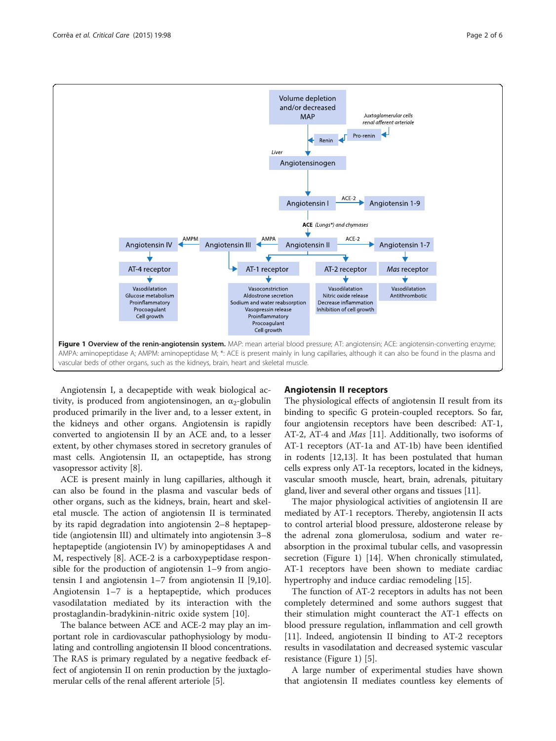<span id="page-1-0"></span>

Angiotensin I, a decapeptide with weak biological activity, is produced from angiotensinogen, an  $\alpha_2$ -globulin produced primarily in the liver and, to a lesser extent, in the kidneys and other organs. Angiotensin is rapidly converted to angiotensin II by an ACE and, to a lesser extent, by other chymases stored in secretory granules of mast cells. Angiotensin II, an octapeptide, has strong vasopressor activity [\[8](#page-4-0)].

ACE is present mainly in lung capillaries, although it can also be found in the plasma and vascular beds of other organs, such as the kidneys, brain, heart and skeletal muscle. The action of angiotensin II is terminated by its rapid degradation into angiotensin 2–8 heptapeptide (angiotensin III) and ultimately into angiotensin 3–8 heptapeptide (angiotensin IV) by aminopeptidases A and M, respectively [[8\]](#page-4-0). ACE-2 is a carboxypeptidase responsible for the production of angiotensin 1–9 from angiotensin I and angiotensin 1–7 from angiotensin II [\[9,10](#page-4-0)]. Angiotensin 1–7 is a heptapeptide, which produces vasodilatation mediated by its interaction with the prostaglandin-bradykinin-nitric oxide system [[10](#page-4-0)].

The balance between ACE and ACE-2 may play an important role in cardiovascular pathophysiology by modulating and controlling angiotensin II blood concentrations. The RAS is primary regulated by a negative feedback effect of angiotensin II on renin production by the juxtaglomerular cells of the renal afferent arteriole [[5\]](#page-4-0).

## Angiotensin II receptors

The physiological effects of angiotensin II result from its binding to specific G protein-coupled receptors. So far, four angiotensin receptors have been described: AT-1, AT-2, AT-4 and Mas [[11\]](#page-4-0). Additionally, two isoforms of AT-1 receptors (AT-1a and AT-1b) have been identified in rodents [\[12,13](#page-4-0)]. It has been postulated that human cells express only AT-1a receptors, located in the kidneys, vascular smooth muscle, heart, brain, adrenals, pituitary gland, liver and several other organs and tissues [\[11\]](#page-4-0).

The major physiological activities of angiotensin II are mediated by AT-1 receptors. Thereby, angiotensin II acts to control arterial blood pressure, aldosterone release by the adrenal zona glomerulosa, sodium and water reabsorption in the proximal tubular cells, and vasopressin secretion (Figure 1) [\[14](#page-4-0)]. When chronically stimulated, AT-1 receptors have been shown to mediate cardiac hypertrophy and induce cardiac remodeling [\[15](#page-4-0)].

The function of AT-2 receptors in adults has not been completely determined and some authors suggest that their stimulation might counteract the AT-1 effects on blood pressure regulation, inflammation and cell growth [[11\]](#page-4-0). Indeed, angiotensin II binding to AT-2 receptors results in vasodilatation and decreased systemic vascular resistance (Figure 1) [[5\]](#page-4-0).

A large number of experimental studies have shown that angiotensin II mediates countless key elements of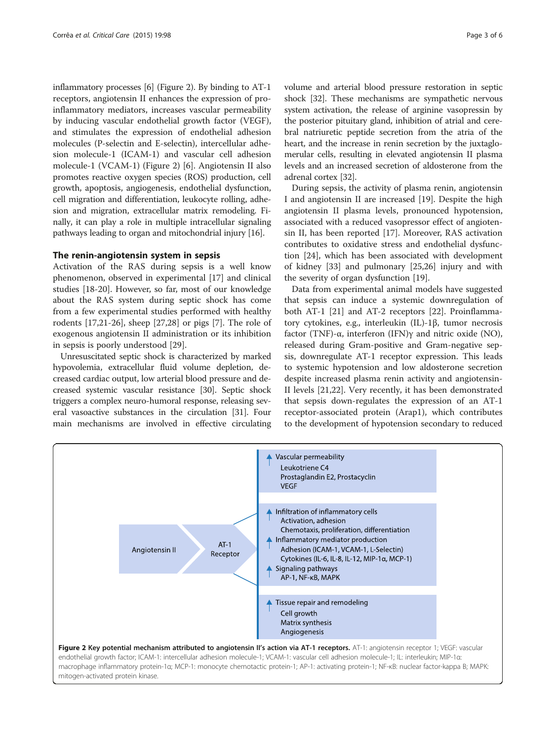inflammatory processes [\[6](#page-4-0)] (Figure 2). By binding to AT-1 receptors, angiotensin II enhances the expression of proinflammatory mediators, increases vascular permeability by inducing vascular endothelial growth factor (VEGF), and stimulates the expression of endothelial adhesion molecules (P-selectin and E-selectin), intercellular adhesion molecule-1 (ICAM-1) and vascular cell adhesion molecule-1 (VCAM-1) (Figure 2) [\[6](#page-4-0)]. Angiotensin II also promotes reactive oxygen species (ROS) production, cell growth, apoptosis, angiogenesis, endothelial dysfunction, cell migration and differentiation, leukocyte rolling, adhesion and migration, extracellular matrix remodeling. Finally, it can play a role in multiple intracellular signaling pathways leading to organ and mitochondrial injury [[16](#page-4-0)].

#### The renin-angiotensin system in sepsis

Activation of the RAS during sepsis is a well know phenomenon, observed in experimental [[17\]](#page-4-0) and clinical studies [[18-20\]](#page-4-0). However, so far, most of our knowledge about the RAS system during septic shock has come from a few experimental studies performed with healthy rodents [\[17,21-26](#page-4-0)], sheep [\[27,28](#page-4-0)] or pigs [[7](#page-4-0)]. The role of exogenous angiotensin II administration or its inhibition in sepsis is poorly understood [[29\]](#page-4-0).

Unresuscitated septic shock is characterized by marked hypovolemia, extracellular fluid volume depletion, decreased cardiac output, low arterial blood pressure and decreased systemic vascular resistance [\[30\]](#page-4-0). Septic shock triggers a complex neuro-humoral response, releasing several vasoactive substances in the circulation [[31](#page-4-0)]. Four main mechanisms are involved in effective circulating volume and arterial blood pressure restoration in septic shock [\[32](#page-4-0)]. These mechanisms are sympathetic nervous system activation, the release of arginine vasopressin by the posterior pituitary gland, inhibition of atrial and cerebral natriuretic peptide secretion from the atria of the heart, and the increase in renin secretion by the juxtaglomerular cells, resulting in elevated angiotensin II plasma levels and an increased secretion of aldosterone from the adrenal cortex [\[32](#page-4-0)].

During sepsis, the activity of plasma renin, angiotensin I and angiotensin II are increased [[19](#page-4-0)]. Despite the high angiotensin II plasma levels, pronounced hypotension, associated with a reduced vasopressor effect of angiotensin II, has been reported [[17](#page-4-0)]. Moreover, RAS activation contributes to oxidative stress and endothelial dysfunction [\[24](#page-4-0)], which has been associated with development of kidney [\[33](#page-4-0)] and pulmonary [\[25,26](#page-4-0)] injury and with the severity of organ dysfunction [\[19](#page-4-0)].

Data from experimental animal models have suggested that sepsis can induce a systemic downregulation of both AT-1 [[21\]](#page-4-0) and AT-2 receptors [[22\]](#page-4-0). Proinflammatory cytokines, e.g., interleukin (IL)-1β, tumor necrosis factor (TNF)-α, interferon (IFN)γ and nitric oxide (NO), released during Gram-positive and Gram-negative sepsis, downregulate AT-1 receptor expression. This leads to systemic hypotension and low aldosterone secretion despite increased plasma renin activity and angiotensin-II levels [\[21,22](#page-4-0)]. Very recently, it has been demonstrated that sepsis down-regulates the expression of an AT-1 receptor-associated protein (Arap1), which contributes to the development of hypotension secondary to reduced

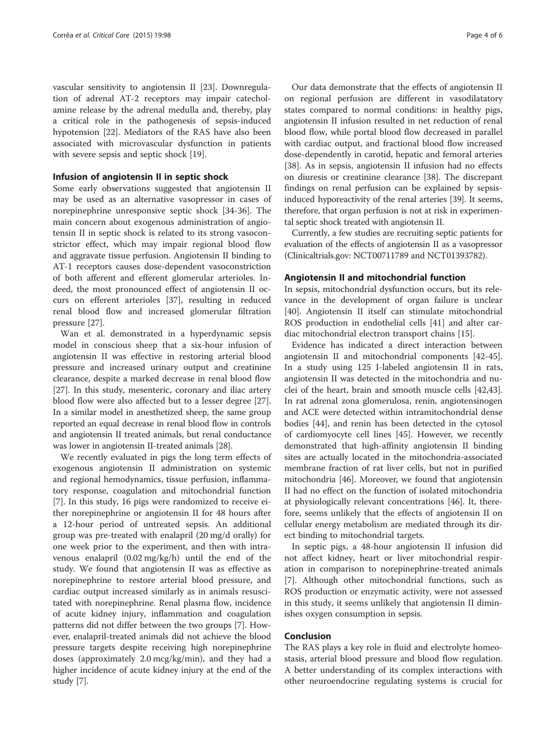vascular sensitivity to angiotensin II [[23\]](#page-4-0). Downregulation of adrenal AT-2 receptors may impair catecholamine release by the adrenal medulla and, thereby, play a critical role in the pathogenesis of sepsis-induced hypotension [[22](#page-4-0)]. Mediators of the RAS have also been associated with microvascular dysfunction in patients with severe sepsis and septic shock [\[19](#page-4-0)].

#### Infusion of angiotensin II in septic shock

Some early observations suggested that angiotensin II may be used as an alternative vasopressor in cases of norepinephrine unresponsive septic shock [\[34](#page-4-0)-[36\]](#page-4-0). The main concern about exogenous administration of angiotensin II in septic shock is related to its strong vasoconstrictor effect, which may impair regional blood flow and aggravate tissue perfusion. Angiotensin II binding to AT-1 receptors causes dose-dependent vasoconstriction of both afferent and efferent glomerular arterioles. Indeed, the most pronounced effect of angiotensin II occurs on efferent arterioles [[37\]](#page-4-0), resulting in reduced renal blood flow and increased glomerular filtration pressure [\[27\]](#page-4-0).

Wan et al. demonstrated in a hyperdynamic sepsis model in conscious sheep that a six-hour infusion of angiotensin II was effective in restoring arterial blood pressure and increased urinary output and creatinine clearance, despite a marked decrease in renal blood flow [[27\]](#page-4-0). In this study, mesenteric, coronary and iliac artery blood flow were also affected but to a lesser degree [\[27](#page-4-0)]. In a similar model in anesthetized sheep, the same group reported an equal decrease in renal blood flow in controls and angiotensin II treated animals, but renal conductance was lower in angiotensin II-treated animals [\[28\]](#page-4-0).

We recently evaluated in pigs the long term effects of exogenous angiotensin II administration on systemic and regional hemodynamics, tissue perfusion, inflammatory response, coagulation and mitochondrial function [[7\]](#page-4-0). In this study, 16 pigs were randomized to receive either norepinephrine or angiotensin II for 48 hours after a 12-hour period of untreated sepsis. An additional group was pre-treated with enalapril (20 mg/d orally) for one week prior to the experiment, and then with intravenous enalapril (0.02 mg/kg/h) until the end of the study. We found that angiotensin II was as effective as norepinephrine to restore arterial blood pressure, and cardiac output increased similarly as in animals resuscitated with norepinephrine. Renal plasma flow, incidence of acute kidney injury, inflammation and coagulation patterns did not differ between the two groups [\[7](#page-4-0)]. However, enalapril-treated animals did not achieve the blood pressure targets despite receiving high norepinephrine doses (approximately 2.0 mcg/kg/min), and they had a higher incidence of acute kidney injury at the end of the study [[7\]](#page-4-0).

Our data demonstrate that the effects of angiotensin II on regional perfusion are different in vasodilatatory states compared to normal conditions: in healthy pigs, angiotensin II infusion resulted in net reduction of renal blood flow, while portal blood flow decreased in parallel with cardiac output, and fractional blood flow increased dose-dependently in carotid, hepatic and femoral arteries [[38\]](#page-4-0). As in sepsis, angiotensin II infusion had no effects on diuresis or creatinine clearance [\[38\]](#page-4-0). The discrepant findings on renal perfusion can be explained by sepsisinduced hyporeactivity of the renal arteries [[39](#page-4-0)]. It seems, therefore, that organ perfusion is not at risk in experimental septic shock treated with angiotensin II.

Currently, a few studies are recruiting septic patients for evaluation of the effects of angiotensin II as a vasopressor (Clinicaltrials.gov: NCT00711789 and NCT01393782).

#### Angiotensin II and mitochondrial function

In sepsis, mitochondrial dysfunction occurs, but its relevance in the development of organ failure is unclear [[40\]](#page-4-0). Angiotensin II itself can stimulate mitochondrial ROS production in endothelial cells [[41\]](#page-4-0) and alter cardiac mitochondrial electron transport chains [[15](#page-4-0)].

Evidence has indicated a direct interaction between angiotensin II and mitochondrial components [\[42-45](#page-5-0)]. In a study using 125 I-labeled angiotensin II in rats, angiotensin II was detected in the mitochondria and nuclei of the heart, brain and smooth muscle cells [\[42,43](#page-5-0)]. In rat adrenal zona glomerulosa, renin, angiotensinogen and ACE were detected within intramitochondrial dense bodies [\[44\]](#page-5-0), and renin has been detected in the cytosol of cardiomyocyte cell lines [\[45](#page-5-0)]. However, we recently demonstrated that high-affinity angiotensin II binding sites are actually located in the mitochondria-associated membrane fraction of rat liver cells, but not in purified mitochondria [\[46](#page-5-0)]. Moreover, we found that angiotensin II had no effect on the function of isolated mitochondria at physiologically relevant concentrations [[46\]](#page-5-0). It, therefore, seems unlikely that the effects of angiotensin II on cellular energy metabolism are mediated through its direct binding to mitochondrial targets.

In septic pigs, a 48-hour angiotensin II infusion did not affect kidney, heart or liver mitochondrial respiration in comparison to norepinephrine-treated animals [[7\]](#page-4-0). Although other mitochondrial functions, such as ROS production or enzymatic activity, were not assessed in this study, it seems unlikely that angiotensin II diminishes oxygen consumption in sepsis.

# Conclusion

The RAS plays a key role in fluid and electrolyte homeostasis, arterial blood pressure and blood flow regulation. A better understanding of its complex interactions with other neuroendocrine regulating systems is crucial for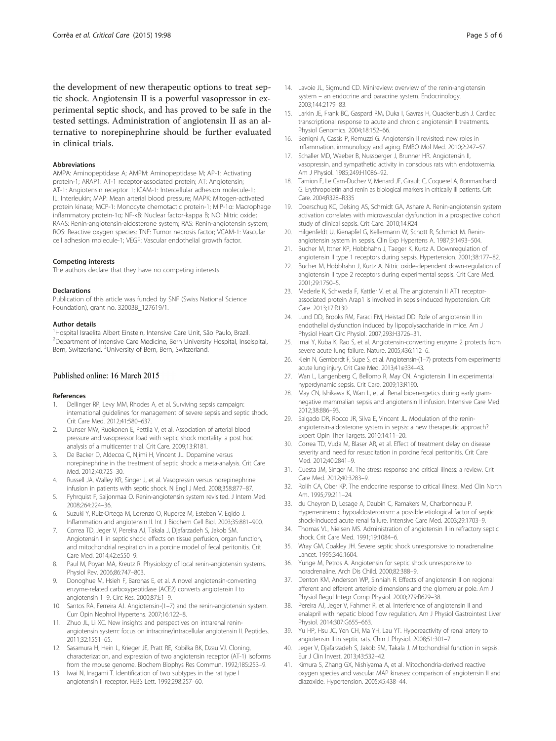<span id="page-4-0"></span>the development of new therapeutic options to treat septic shock. Angiotensin II is a powerful vasopressor in experimental septic shock, and has proved to be safe in the tested settings. Administration of angiotensin II as an alternative to norepinephrine should be further evaluated in clinical trials.

#### Abbreviations

AMPA: Aminopeptidase A; AMPM: Aminopeptidase M; AP-1: Activating protein-1; ARAP1: AT-1 receptor-associated protein; AT: Angiotensin; AT-1: Angiotensin receptor 1; ICAM-1: Intercellular adhesion molecule-1; IL: Interleukin; MAP: Mean arterial blood pressure; MAPK: Mitogen-activated protein kinase; MCP-1: Monocyte chemotactic protein-1; MIP-1α: Macrophage inflammatory protein-1α; NF-κB: Nuclear factor-kappa B; NO: Nitric oxide; RAAS: Renin-angiotensin-aldosterone system; RAS: Renin-angiotensin system; ROS: Reactive oxygen species; TNF: Tumor necrosis factor; VCAM-1: Vascular cell adhesion molecule-1; VEGF: Vascular endothelial growth factor.

#### Competing interests

The authors declare that they have no competing interests.

#### Declarations

Publication of this article was funded by SNF (Swiss National Science Foundation), grant no. 32003B\_127619/1.

#### Author details

<sup>1</sup>Hospital Israelita Albert Einstein, Intensive Care Unit, São Paulo, Brazil. <sup>2</sup>Department of Intensive Care Medicine, Bern University Hospital, Inselspital, Bern, Switzerland. <sup>3</sup>University of Bern, Bern, Switzerland.

## Published online: 16 March 2015

#### References

- Dellinger RP, Levy MM, Rhodes A, et al. Surviving sepsis campaign: international guidelines for management of severe sepsis and septic shock. Crit Care Med. 2012;41:580–637.
- 2. Dunser MW, Ruokonen E, Pettila V, et al. Association of arterial blood pressure and vasopressor load with septic shock mortality: a post hoc analysis of a multicenter trial. Crit Care. 2009;13:R181.
- 3. De Backer D, Aldecoa C, Njimi H, Vincent JL. Dopamine versus norepinephrine in the treatment of septic shock: a meta-analysis. Crit Care Med. 2012;40:725–30.
- 4. Russell JA, Walley KR, Singer J, et al. Vasopressin versus norepinephrine infusion in patients with septic shock. N Engl J Med. 2008;358:877–87.
- 5. Fyhrquist F, Saijonmaa O. Renin-angiotensin system revisited. J Intern Med. 2008;264:224–36. 6. Suzuki Y, Ruiz-Ortega M, Lorenzo O, Ruperez M, Esteban V, Egido J.
- Inflammation and angiotensin II. Int J Biochem Cell Biol. 2003;35:881–900.
- 7. Correa TD, Jeger V, Pereira AJ, Takala J, Djafarzadeh S, Jakob SM. Angiotensin II in septic shock: effects on tissue perfusion, organ function, and mitochondrial respiration in a porcine model of fecal peritonitis. Crit Care Med. 2014;42:e550–9.
- 8. Paul M, Poyan MA, Kreutz R. Physiology of local renin-angiotensin systems. Physiol Rev. 2006;86:747–803.
- 9. Donoghue M, Hsieh F, Baronas E, et al. A novel angiotensin-converting enzyme-related carboxypeptidase (ACE2) converts angiotensin I to angiotensin 1–9. Circ Res. 2000;87:E1–9.
- 10. Santos RA, Ferreira AJ. Angiotensin-(1–7) and the renin-angiotensin system. Curr Opin Nephrol Hypertens. 2007;16:122–8.
- 11. Zhuo JL, Li XC. New insights and perspectives on intrarenal reninangiotensin system: focus on intracrine/intracellular angiotensin II. Peptides. 2011;32:1551–65.
- 12. Sasamura H, Hein L, Krieger JE, Pratt RE, Kobilka BK, Dzau VJ. Cloning, characterization, and expression of two angiotensin receptor (AT-1) isoforms from the mouse genome. Biochem Biophys Res Commun. 1992;185:253–9.
- 13. Iwai N, Inagami T. Identification of two subtypes in the rat type I angiotensin II receptor. FEBS Lett. 1992;298:257–60.
- 14. Lavoie JL, Sigmund CD. Minireview: overview of the renin-angiotensin system – an endocrine and paracrine system. Endocrinology. 2003;144:2179–83.
- 15. Larkin JE, Frank BC, Gaspard RM, Duka I, Gavras H, Quackenbush J. Cardiac transcriptional response to acute and chronic angiotensin II treatments. Physiol Genomics. 2004;18:152–66.
- 16. Benigni A, Cassis P, Remuzzi G. Angiotensin II revisited: new roles in inflammation, immunology and aging. EMBO Mol Med. 2010;2:247–57.
- 17. Schaller MD, Waeber B, Nussberger J, Brunner HR. Angiotensin II, vasopressin, and sympathetic activity in conscious rats with endotoxemia. Am J Physiol. 1985;249:H1086–92.
- 18. Tamion F, Le Cam-Duchez V, Menard JF, Girault C, Coquerel A, Bonmarchand G. Erythropoietin and renin as biological markers in critically ill patients. Crit Care. 2004;R328–R335
- 19. Doerschug KC, Delsing AS, Schmidt GA, Ashare A. Renin-angiotensin system activation correlates with microvascular dysfunction in a prospective cohort study of clinical sepsis. Crit Care. 2010;14:R24.
- 20. Hilgenfeldt U, Kienapfel G, Kellermann W, Schott R, Schmidt M. Reninangiotensin system in sepsis. Clin Exp Hypertens A. 1987;9:1493–504.
- 21. Bucher M, Ittner KP, Hobbhahn J, Taeger K, Kurtz A. Downregulation of angiotensin II type 1 receptors during sepsis. Hypertension. 2001;38:177–82.
- 22. Bucher M, Hobbhahn J, Kurtz A. Nitric oxide-dependent down-regulation of angiotensin II type 2 receptors during experimental sepsis. Crit Care Med. 2001;29:1750–5.
- 23. Mederle K, Schweda F, Kattler V, et al. The angiotensin II AT1 receptorassociated protein Arap1 is involved in sepsis-induced hypotension. Crit Care. 2013;17:R130.
- 24. Lund DD, Brooks RM, Faraci FM, Heistad DD. Role of angiotensin II in endothelial dysfunction induced by lipopolysaccharide in mice. Am J Physiol Heart Circ Physiol. 2007;293:H3726–31.
- 25. Imai Y, Kuba K, Rao S, et al. Angiotensin-converting enzyme 2 protects from severe acute lung failure. Nature. 2005;436:112–6.
- 26. Klein N, Gembardt F, Supe S, et al. Angiotensin-(1–7) protects from experimental acute lung injury. Crit Care Med. 2013;41:e334–43.
- 27. Wan L, Langenberg C, Bellomo R, May CN. Angiotensin II in experimental hyperdynamic sepsis. Crit Care. 2009;13:R190.
- 28. May CN, Ishikawa K, Wan L, et al. Renal bioenergetics during early gramnegative mammalian sepsis and angiotensin II infusion. Intensive Care Med. 2012;38:886–93.
- 29. Salgado DR, Rocco JR, Silva E, Vincent JL. Modulation of the reninangiotensin-aldosterone system in sepsis: a new therapeutic approach? Expert Opin Ther Targets. 2010;14:11–20.
- 30. Correa TD, Vuda M, Blaser AR, et al. Effect of treatment delay on disease severity and need for resuscitation in porcine fecal peritonitis. Crit Care Med. 2012;40:2841–9.
- 31. Cuesta JM, Singer M. The stress response and critical illness: a review. Crit Care Med. 2012;40:3283–9.
- 32. Rolih CA, Ober KP. The endocrine response to critical illness. Med Clin North Am. 1995;79:211–24.
- 33. du Cheyron D, Lesage A, Daubin C, Ramakers M, Charbonneau P. Hyperreninemic hypoaldosteronism: a possible etiological factor of septic shock-induced acute renal failure. Intensive Care Med. 2003;29:1703–9.
- 34. Thomas VL, Nielsen MS. Administration of angiotensin II in refractory septic shock. Crit Care Med. 1991;19:1084–6.
- 35. Wray GM, Coakley JH. Severe septic shock unresponsive to noradrenaline. Lancet. 1995;346:1604.
- 36. Yunge M, Petros A. Angiotensin for septic shock unresponsive to noradrenaline. Arch Dis Child. 2000;82:388–9.
- 37. Denton KM, Anderson WP, Sinniah R. Effects of angiotensin II on regional afferent and efferent arteriole dimensions and the glomerular pole. Am J Physiol Regul Integr Comp Physiol. 2000;279:R629–38.
- 38. Pereira AJ, Jeger V, Fahrner R, et al. Interference of angiotensin II and enalapril with hepatic blood flow regulation. Am J Physiol Gastrointest Liver Physiol. 2014;307:G655–663.
- 39. Yu HP, Hsu JC, Yen CH, Ma YH, Lau YT. Hyporeactivity of renal artery to angiotensin II in septic rats. Chin J Physiol. 2008;51:301–7.
- 40. Jeger V, Djafarzadeh S, Jakob SM, Takala J. Mitochondrial function in sepsis. Eur J Clin Invest. 2013;43:532–42.
- 41. Kimura S, Zhang GX, Nishiyama A, et al. Mitochondria-derived reactive oxygen species and vascular MAP kinases: comparison of angiotensin II and diazoxide. Hypertension. 2005;45:438–44.